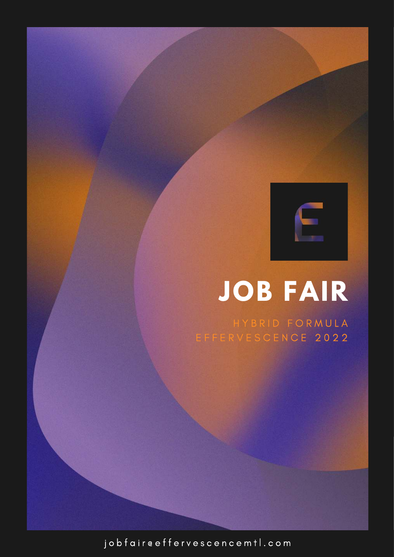# **JOB FAIR**

 $E$ 

HYBRID FORMULA E F F E R V E S C E N C E 2 0 2 2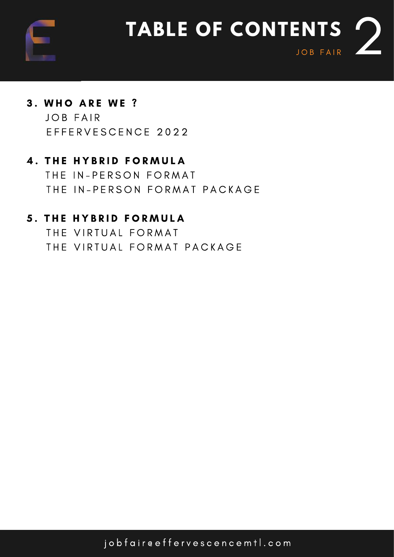

## 3. WHO ARE WE ? JOB FAIR

E F F E R V E S C E N C E 2022

## **4. THE HYBRID FORMULA**

THE IN-PERSON FORMAT THE IN-PERSON FORMAT PACKAGE

#### **5. THE HYBRID FORMULA**

THE VIRTUAL FORMAT THE VIRTUAL FORMAT PACKAGE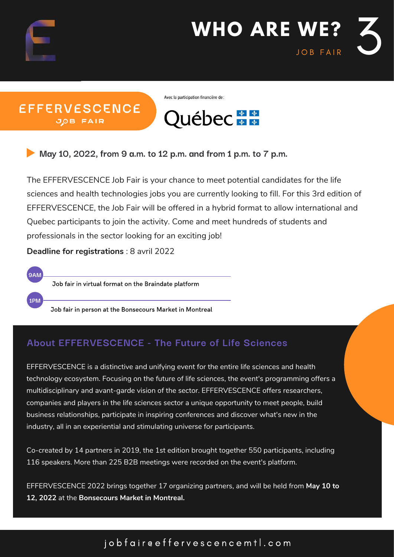

**9AM**

**1PM**



**EFFERVESCENCE JOB FAIR** 

Avec la participation financière de :



**May 10, 2022, from 9 a.m. to 12 p.m. and from 1 p.m. to 7 p.m.**

The EFFERVESCENCE Job Fair is your chance to meet potential candidates for the life sciences and health technologies jobs you are currently looking to fill. For this 3rd edition of EFFERVESCENCE, the Job Fair will be offered in a hybrid format to allow international and Quebec participants to join the activity. Come and meet hundreds of students and professionals in the sector looking for an exciting job!

**Deadline for registrations** : 8 avril 2022

Job fair in virtual format on the Braindate platform

Job fair in person at the Bonsecours Market in Montreal

#### **About EFFERVESCENCE - The Future of Life Sciences**

EFFERVESCENCE is a distinctive and unifying event for the entire life sciences and health technology ecosystem. Focusing on the future of life sciences, the event's programming offers a multidisciplinary and avant-garde vision of the sector. EFFERVESCENCE offers researchers, companies and players in the life sciences sector a unique opportunity to meet people, build business relationships, participate in inspiring conferences and discover what's new in the industry, all in an experiential and stimulating universe for participants.

Co-created by 14 partners in 2019, the 1st edition brought together 550 participants, including 116 speakers. More than 225 B2B meetings were recorded on the event's platform.

EFFERVESCENCE 2022 brings together 17 organizing partners, and will be held from **May 10 to 12, 2022** at the **Bonsecours Market in Montreal.**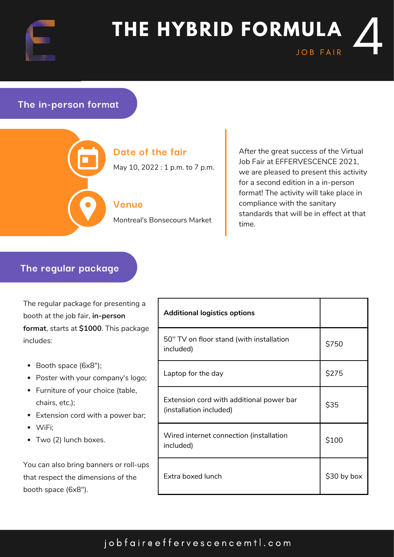

# **THE HYBRID FORMULA** ULA 4

#### **The in-person format**



#### **Date of the fair**

May 10, 2022 : 1 p.m. to 7 p.m.

#### **Venue**

Montreal's Bonsecours Market

After the great success of the Virtual Job Fair at EFFERVESCENCE 2021, we are pleased to present this activity for a second edition in a in-person format! The activity will take place in compliance with the sanitary standards that will be in effect at that time.

#### **The regular package**

The regular package for presenting a booth at the job fair, **in-person format**, starts at **\$1000**. This package includes:

- Booth space (6x8");
- Poster with your company's logo;
- Furniture of your choice (table, chairs, etc.);
- Extension cord with a power bar;
- WiFi;
- Two (2) lunch boxes.

You can also bring banners or roll-ups that respect the dimensions of the booth space (6x8").

| <b>Additional logistics options</b>                                 |             |
|---------------------------------------------------------------------|-------------|
| 50" TV on floor stand (with installation<br>included)               | \$750       |
| Laptop for the day                                                  | \$275       |
| Extension cord with additional power bar<br>(installation included) | \$35        |
| Wired internet connection (installation<br>included)                | \$100       |
| Extra boxed lunch                                                   | \$30 by box |